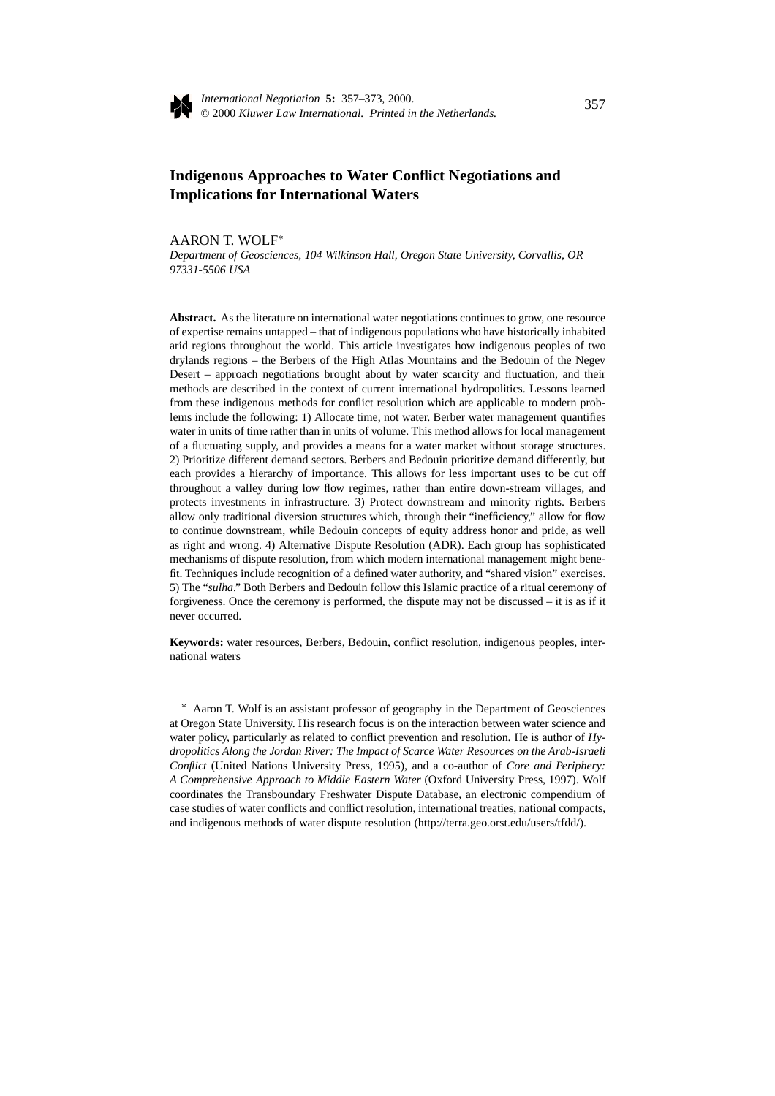

*International Negotiation* **5:** 357–373, 2000. © 2000 *Kluwer Law International. Printed in the Netherlands.* <sup>357</sup>

# **Indigenous Approaches to Water Conflict Negotiations and Implications for International Waters**

AARON T. WOLF<sup>∗</sup>

*Department of Geosciences, 104 Wilkinson Hall, Oregon State University, Corvallis, OR 97331-5506 USA*

**Abstract.** As the literature on international water negotiations continues to grow, one resource of expertise remains untapped – that of indigenous populations who have historically inhabited arid regions throughout the world. This article investigates how indigenous peoples of two drylands regions – the Berbers of the High Atlas Mountains and the Bedouin of the Negev Desert – approach negotiations brought about by water scarcity and fluctuation, and their methods are described in the context of current international hydropolitics. Lessons learned from these indigenous methods for conflict resolution which are applicable to modern problems include the following: 1) Allocate time, not water. Berber water management quantifies water in units of time rather than in units of volume. This method allows for local management of a fluctuating supply, and provides a means for a water market without storage structures. 2) Prioritize different demand sectors. Berbers and Bedouin prioritize demand differently, but each provides a hierarchy of importance. This allows for less important uses to be cut off throughout a valley during low flow regimes, rather than entire down-stream villages, and protects investments in infrastructure. 3) Protect downstream and minority rights. Berbers allow only traditional diversion structures which, through their "inefficiency," allow for flow to continue downstream, while Bedouin concepts of equity address honor and pride, as well as right and wrong. 4) Alternative Dispute Resolution (ADR). Each group has sophisticated mechanisms of dispute resolution, from which modern international management might benefit. Techniques include recognition of a defined water authority, and "shared vision" exercises. 5) The "*sulha*." Both Berbers and Bedouin follow this Islamic practice of a ritual ceremony of forgiveness. Once the ceremony is performed, the dispute may not be discussed – it is as if it never occurred.

**Keywords:** water resources, Berbers, Bedouin, conflict resolution, indigenous peoples, international waters

∗ Aaron T. Wolf is an assistant professor of geography in the Department of Geosciences at Oregon State University. His research focus is on the interaction between water science and water policy, particularly as related to conflict prevention and resolution. He is author of *Hydropolitics Along the Jordan River: The Impact of Scarce Water Resources on the Arab-Israeli Conflict* (United Nations University Press, 1995), and a co-author of *Core and Periphery: A Comprehensive Approach to Middle Eastern Water* (Oxford University Press, 1997). Wolf coordinates the Transboundary Freshwater Dispute Database, an electronic compendium of case studies of water conflicts and conflict resolution, international treaties, national compacts, and indigenous methods of water dispute resolution (http://terra.geo.orst.edu/users/tfdd/).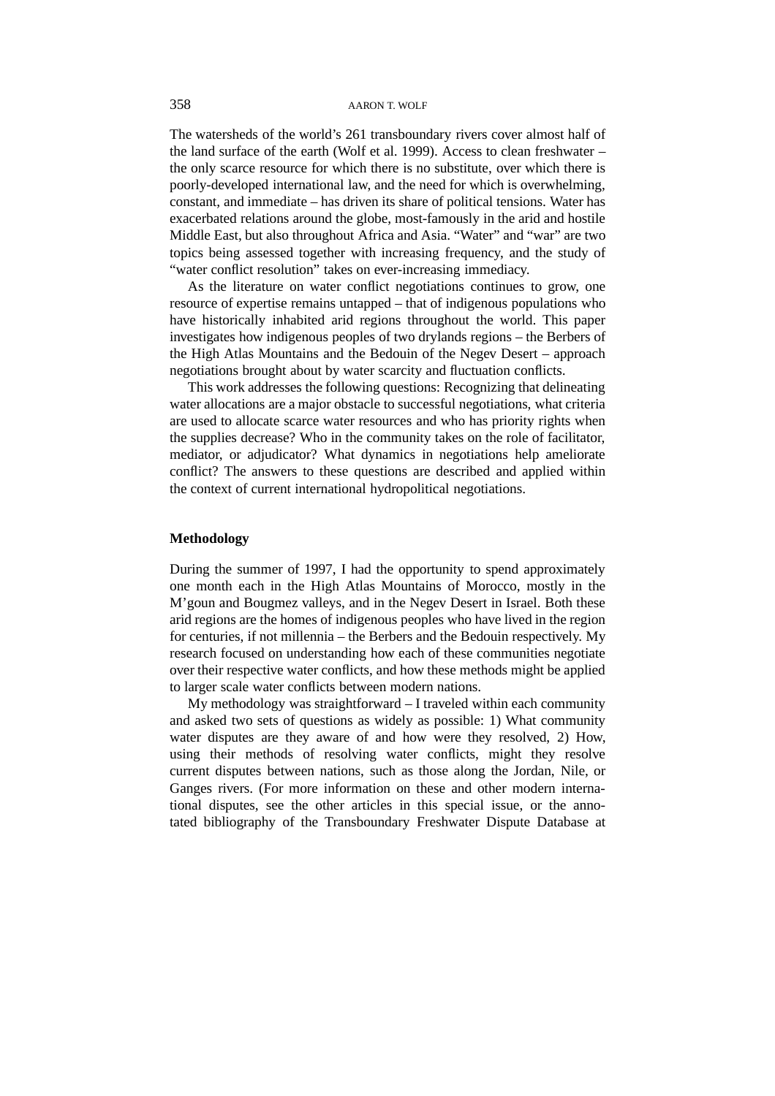The watersheds of the world's 261 transboundary rivers cover almost half of the land surface of the earth (Wolf et al. 1999). Access to clean freshwater – the only scarce resource for which there is no substitute, over which there is poorly-developed international law, and the need for which is overwhelming, constant, and immediate – has driven its share of political tensions. Water has exacerbated relations around the globe, most-famously in the arid and hostile Middle East, but also throughout Africa and Asia. "Water" and "war" are two topics being assessed together with increasing frequency, and the study of "water conflict resolution" takes on ever-increasing immediacy.

As the literature on water conflict negotiations continues to grow, one resource of expertise remains untapped – that of indigenous populations who have historically inhabited arid regions throughout the world. This paper investigates how indigenous peoples of two drylands regions – the Berbers of the High Atlas Mountains and the Bedouin of the Negev Desert – approach negotiations brought about by water scarcity and fluctuation conflicts.

This work addresses the following questions: Recognizing that delineating water allocations are a major obstacle to successful negotiations, what criteria are used to allocate scarce water resources and who has priority rights when the supplies decrease? Who in the community takes on the role of facilitator, mediator, or adjudicator? What dynamics in negotiations help ameliorate conflict? The answers to these questions are described and applied within the context of current international hydropolitical negotiations.

### **Methodology**

During the summer of 1997, I had the opportunity to spend approximately one month each in the High Atlas Mountains of Morocco, mostly in the M'goun and Bougmez valleys, and in the Negev Desert in Israel. Both these arid regions are the homes of indigenous peoples who have lived in the region for centuries, if not millennia – the Berbers and the Bedouin respectively. My research focused on understanding how each of these communities negotiate over their respective water conflicts, and how these methods might be applied to larger scale water conflicts between modern nations.

My methodology was straightforward – I traveled within each community and asked two sets of questions as widely as possible: 1) What community water disputes are they aware of and how were they resolved, 2) How, using their methods of resolving water conflicts, might they resolve current disputes between nations, such as those along the Jordan, Nile, or Ganges rivers. (For more information on these and other modern international disputes, see the other articles in this special issue, or the annotated bibliography of the Transboundary Freshwater Dispute Database at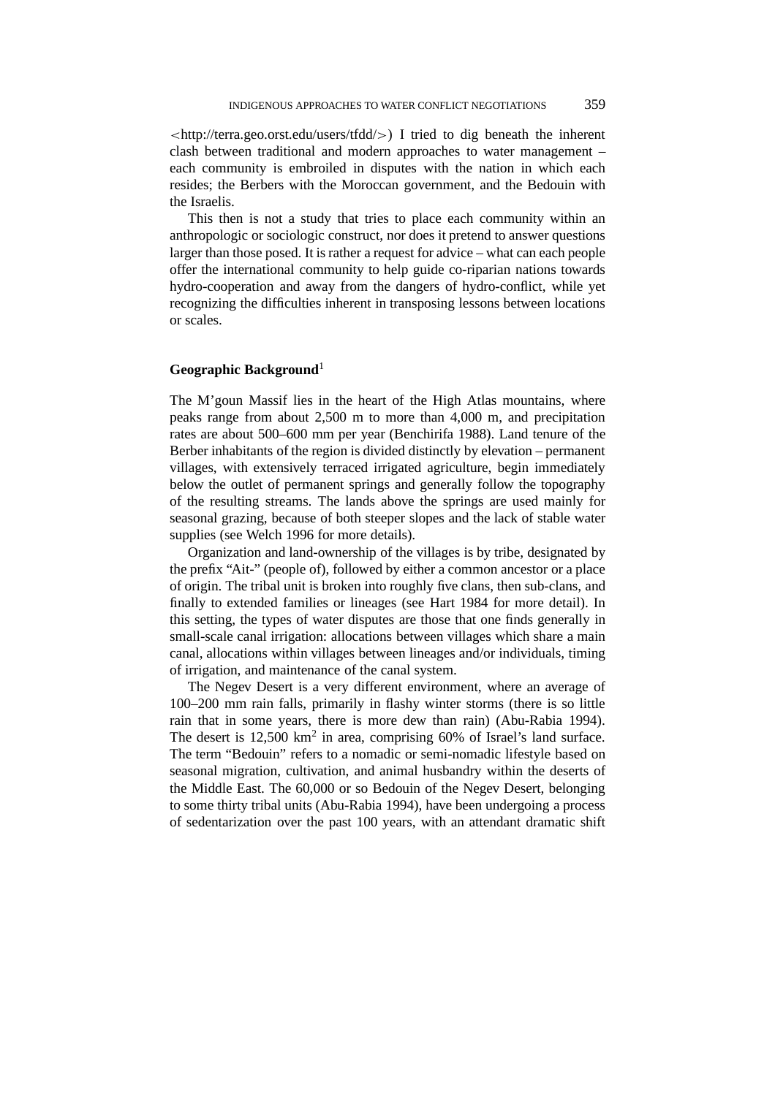*<*http://terra.geo.orst.edu/users/tfdd/*>*) I tried to dig beneath the inherent clash between traditional and modern approaches to water management – each community is embroiled in disputes with the nation in which each resides; the Berbers with the Moroccan government, and the Bedouin with the Israelis.

This then is not a study that tries to place each community within an anthropologic or sociologic construct, nor does it pretend to answer questions larger than those posed. It is rather a request for advice – what can each people offer the international community to help guide co-riparian nations towards hydro-cooperation and away from the dangers of hydro-conflict, while yet recognizing the difficulties inherent in transposing lessons between locations or scales.

## **Geographic Background**<sup>1</sup>

The M'goun Massif lies in the heart of the High Atlas mountains, where peaks range from about 2,500 m to more than 4,000 m, and precipitation rates are about 500–600 mm per year (Benchirifa 1988). Land tenure of the Berber inhabitants of the region is divided distinctly by elevation – permanent villages, with extensively terraced irrigated agriculture, begin immediately below the outlet of permanent springs and generally follow the topography of the resulting streams. The lands above the springs are used mainly for seasonal grazing, because of both steeper slopes and the lack of stable water supplies (see Welch 1996 for more details).

Organization and land-ownership of the villages is by tribe, designated by the prefix "Ait-" (people of), followed by either a common ancestor or a place of origin. The tribal unit is broken into roughly five clans, then sub-clans, and finally to extended families or lineages (see Hart 1984 for more detail). In this setting, the types of water disputes are those that one finds generally in small-scale canal irrigation: allocations between villages which share a main canal, allocations within villages between lineages and/or individuals, timing of irrigation, and maintenance of the canal system.

The Negev Desert is a very different environment, where an average of 100–200 mm rain falls, primarily in flashy winter storms (there is so little rain that in some years, there is more dew than rain) (Abu-Rabia 1994). The desert is  $12,500 \text{ km}^2$  in area, comprising 60% of Israel's land surface. The term "Bedouin" refers to a nomadic or semi-nomadic lifestyle based on seasonal migration, cultivation, and animal husbandry within the deserts of the Middle East. The 60,000 or so Bedouin of the Negev Desert, belonging to some thirty tribal units (Abu-Rabia 1994), have been undergoing a process of sedentarization over the past 100 years, with an attendant dramatic shift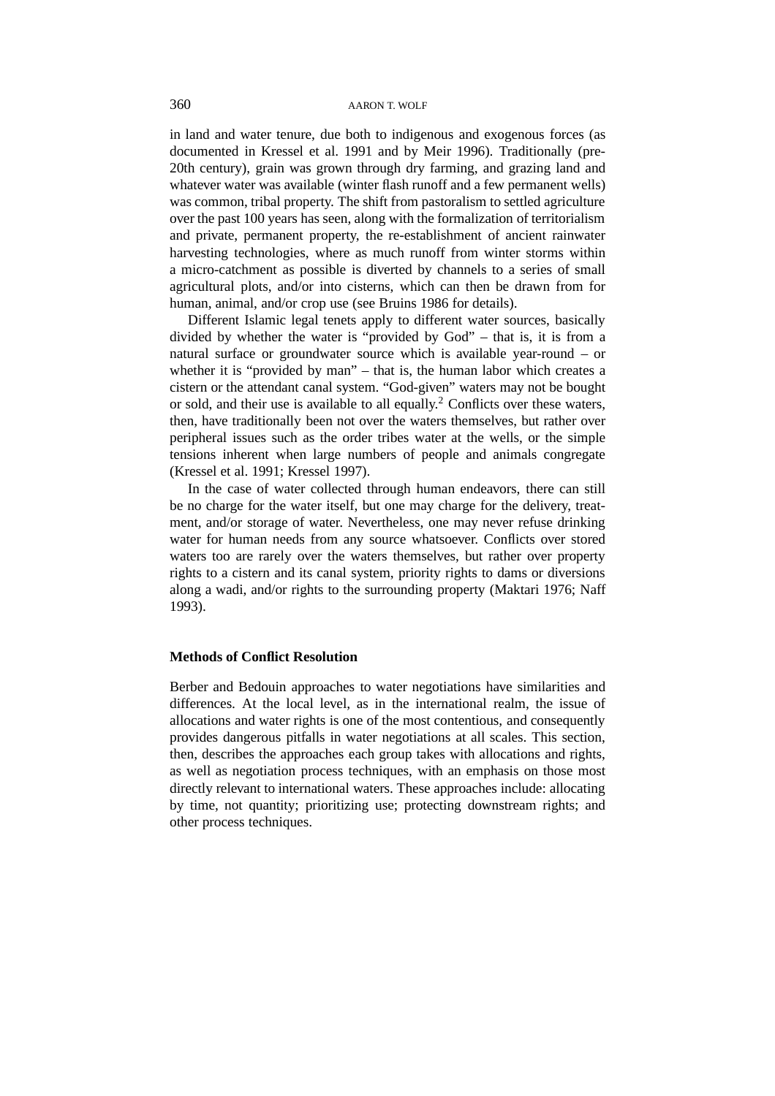in land and water tenure, due both to indigenous and exogenous forces (as documented in Kressel et al. 1991 and by Meir 1996). Traditionally (pre-20th century), grain was grown through dry farming, and grazing land and whatever water was available (winter flash runoff and a few permanent wells) was common, tribal property. The shift from pastoralism to settled agriculture over the past 100 years has seen, along with the formalization of territorialism and private, permanent property, the re-establishment of ancient rainwater harvesting technologies, where as much runoff from winter storms within a micro-catchment as possible is diverted by channels to a series of small agricultural plots, and/or into cisterns, which can then be drawn from for human, animal, and/or crop use (see Bruins 1986 for details).

Different Islamic legal tenets apply to different water sources, basically divided by whether the water is "provided by God" – that is, it is from a natural surface or groundwater source which is available year-round – or whether it is "provided by man" – that is, the human labor which creates a cistern or the attendant canal system. "God-given" waters may not be bought or sold, and their use is available to all equally.<sup>2</sup> Conflicts over these waters, then, have traditionally been not over the waters themselves, but rather over peripheral issues such as the order tribes water at the wells, or the simple tensions inherent when large numbers of people and animals congregate (Kressel et al. 1991; Kressel 1997).

In the case of water collected through human endeavors, there can still be no charge for the water itself, but one may charge for the delivery, treatment, and/or storage of water. Nevertheless, one may never refuse drinking water for human needs from any source whatsoever. Conflicts over stored waters too are rarely over the waters themselves, but rather over property rights to a cistern and its canal system, priority rights to dams or diversions along a wadi, and/or rights to the surrounding property (Maktari 1976; Naff 1993).

### **Methods of Conflict Resolution**

Berber and Bedouin approaches to water negotiations have similarities and differences. At the local level, as in the international realm, the issue of allocations and water rights is one of the most contentious, and consequently provides dangerous pitfalls in water negotiations at all scales. This section, then, describes the approaches each group takes with allocations and rights, as well as negotiation process techniques, with an emphasis on those most directly relevant to international waters. These approaches include: allocating by time, not quantity; prioritizing use; protecting downstream rights; and other process techniques.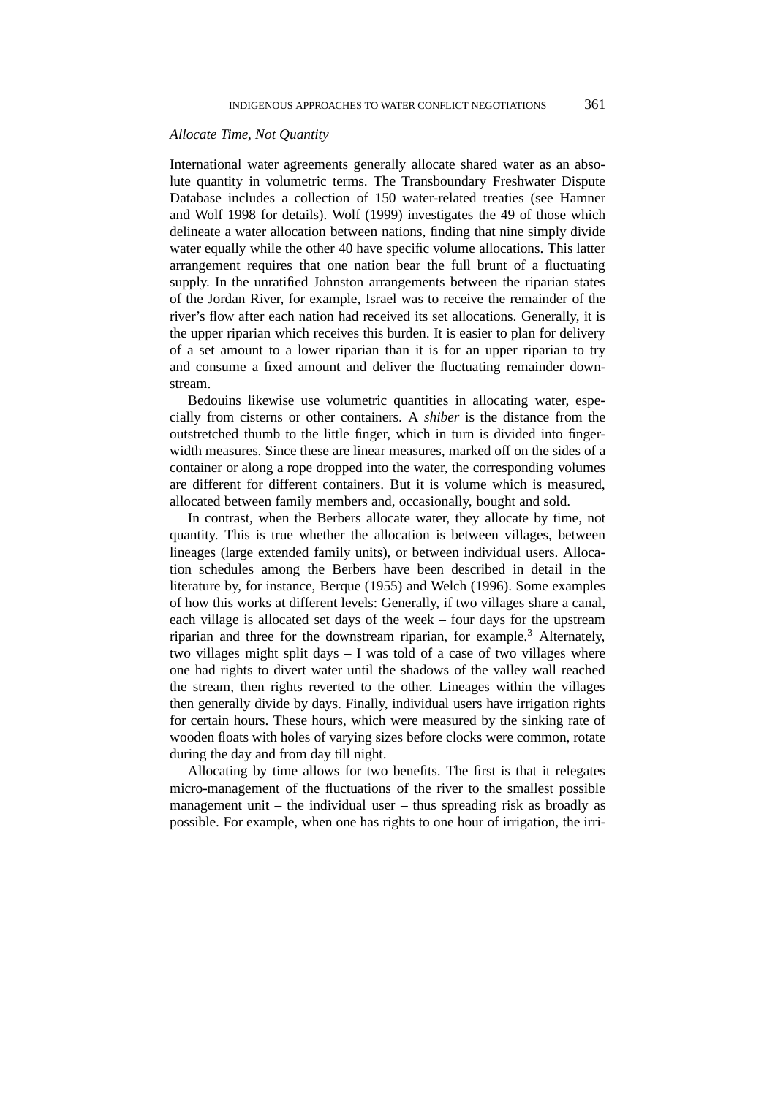### *Allocate Time, Not Quantity*

International water agreements generally allocate shared water as an absolute quantity in volumetric terms. The Transboundary Freshwater Dispute Database includes a collection of 150 water-related treaties (see Hamner and Wolf 1998 for details). Wolf (1999) investigates the 49 of those which delineate a water allocation between nations, finding that nine simply divide water equally while the other 40 have specific volume allocations. This latter arrangement requires that one nation bear the full brunt of a fluctuating supply. In the unratified Johnston arrangements between the riparian states of the Jordan River, for example, Israel was to receive the remainder of the river's flow after each nation had received its set allocations. Generally, it is the upper riparian which receives this burden. It is easier to plan for delivery of a set amount to a lower riparian than it is for an upper riparian to try and consume a fixed amount and deliver the fluctuating remainder downstream.

Bedouins likewise use volumetric quantities in allocating water, especially from cisterns or other containers. A *shiber* is the distance from the outstretched thumb to the little finger, which in turn is divided into fingerwidth measures. Since these are linear measures, marked off on the sides of a container or along a rope dropped into the water, the corresponding volumes are different for different containers. But it is volume which is measured, allocated between family members and, occasionally, bought and sold.

In contrast, when the Berbers allocate water, they allocate by time, not quantity. This is true whether the allocation is between villages, between lineages (large extended family units), or between individual users. Allocation schedules among the Berbers have been described in detail in the literature by, for instance, Berque (1955) and Welch (1996). Some examples of how this works at different levels: Generally, if two villages share a canal, each village is allocated set days of the week – four days for the upstream riparian and three for the downstream riparian, for example.<sup>3</sup> Alternately, two villages might split days – I was told of a case of two villages where one had rights to divert water until the shadows of the valley wall reached the stream, then rights reverted to the other. Lineages within the villages then generally divide by days. Finally, individual users have irrigation rights for certain hours. These hours, which were measured by the sinking rate of wooden floats with holes of varying sizes before clocks were common, rotate during the day and from day till night.

Allocating by time allows for two benefits. The first is that it relegates micro-management of the fluctuations of the river to the smallest possible management unit – the individual user – thus spreading risk as broadly as possible. For example, when one has rights to one hour of irrigation, the irri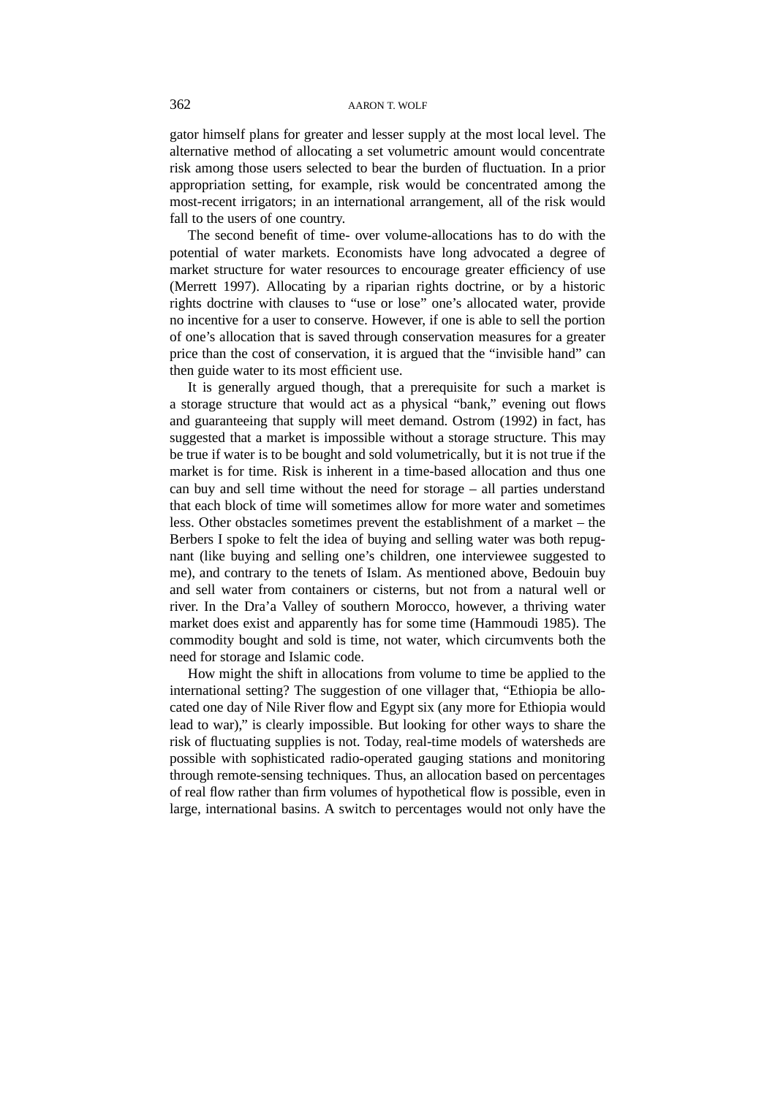gator himself plans for greater and lesser supply at the most local level. The alternative method of allocating a set volumetric amount would concentrate risk among those users selected to bear the burden of fluctuation. In a prior appropriation setting, for example, risk would be concentrated among the most-recent irrigators; in an international arrangement, all of the risk would fall to the users of one country.

The second benefit of time- over volume-allocations has to do with the potential of water markets. Economists have long advocated a degree of market structure for water resources to encourage greater efficiency of use (Merrett 1997). Allocating by a riparian rights doctrine, or by a historic rights doctrine with clauses to "use or lose" one's allocated water, provide no incentive for a user to conserve. However, if one is able to sell the portion of one's allocation that is saved through conservation measures for a greater price than the cost of conservation, it is argued that the "invisible hand" can then guide water to its most efficient use.

It is generally argued though, that a prerequisite for such a market is a storage structure that would act as a physical "bank," evening out flows and guaranteeing that supply will meet demand. Ostrom (1992) in fact, has suggested that a market is impossible without a storage structure. This may be true if water is to be bought and sold volumetrically, but it is not true if the market is for time. Risk is inherent in a time-based allocation and thus one can buy and sell time without the need for storage – all parties understand that each block of time will sometimes allow for more water and sometimes less. Other obstacles sometimes prevent the establishment of a market – the Berbers I spoke to felt the idea of buying and selling water was both repugnant (like buying and selling one's children, one interviewee suggested to me), and contrary to the tenets of Islam. As mentioned above, Bedouin buy and sell water from containers or cisterns, but not from a natural well or river. In the Dra'a Valley of southern Morocco, however, a thriving water market does exist and apparently has for some time (Hammoudi 1985). The commodity bought and sold is time, not water, which circumvents both the need for storage and Islamic code.

How might the shift in allocations from volume to time be applied to the international setting? The suggestion of one villager that, "Ethiopia be allocated one day of Nile River flow and Egypt six (any more for Ethiopia would lead to war)," is clearly impossible. But looking for other ways to share the risk of fluctuating supplies is not. Today, real-time models of watersheds are possible with sophisticated radio-operated gauging stations and monitoring through remote-sensing techniques. Thus, an allocation based on percentages of real flow rather than firm volumes of hypothetical flow is possible, even in large, international basins. A switch to percentages would not only have the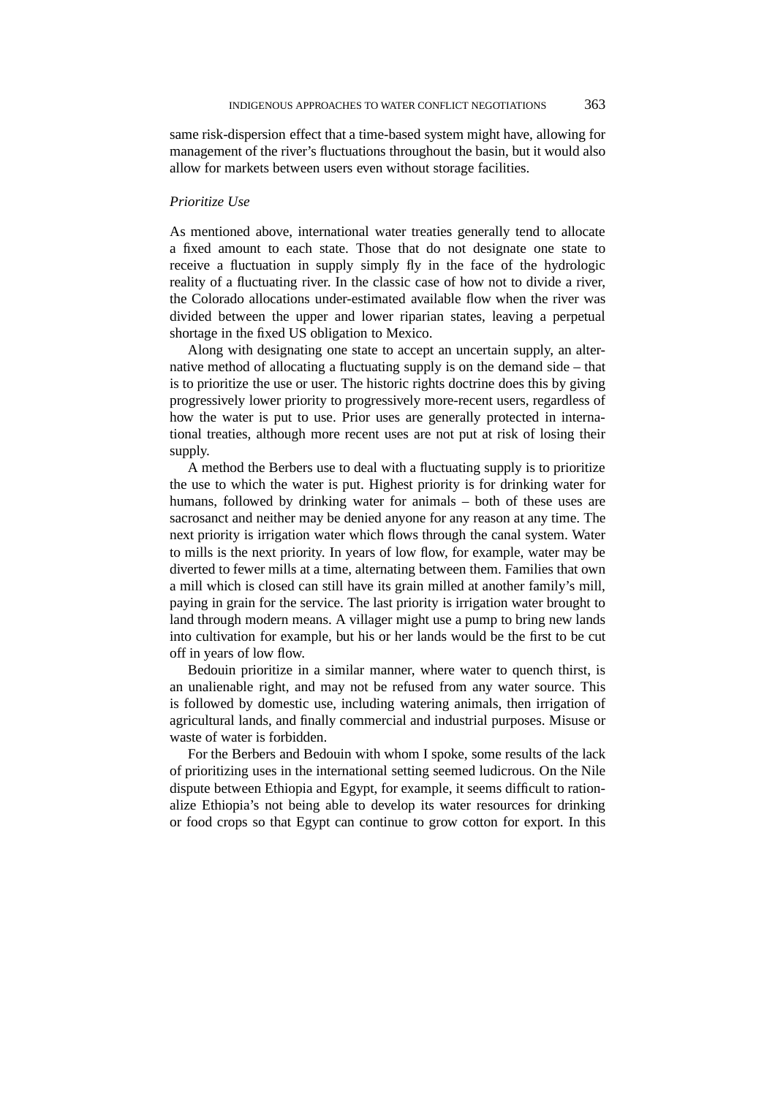same risk-dispersion effect that a time-based system might have, allowing for management of the river's fluctuations throughout the basin, but it would also allow for markets between users even without storage facilities.

#### *Prioritize Use*

As mentioned above, international water treaties generally tend to allocate a fixed amount to each state. Those that do not designate one state to receive a fluctuation in supply simply fly in the face of the hydrologic reality of a fluctuating river. In the classic case of how not to divide a river, the Colorado allocations under-estimated available flow when the river was divided between the upper and lower riparian states, leaving a perpetual shortage in the fixed US obligation to Mexico.

Along with designating one state to accept an uncertain supply, an alternative method of allocating a fluctuating supply is on the demand side – that is to prioritize the use or user. The historic rights doctrine does this by giving progressively lower priority to progressively more-recent users, regardless of how the water is put to use. Prior uses are generally protected in international treaties, although more recent uses are not put at risk of losing their supply.

A method the Berbers use to deal with a fluctuating supply is to prioritize the use to which the water is put. Highest priority is for drinking water for humans, followed by drinking water for animals – both of these uses are sacrosanct and neither may be denied anyone for any reason at any time. The next priority is irrigation water which flows through the canal system. Water to mills is the next priority. In years of low flow, for example, water may be diverted to fewer mills at a time, alternating between them. Families that own a mill which is closed can still have its grain milled at another family's mill, paying in grain for the service. The last priority is irrigation water brought to land through modern means. A villager might use a pump to bring new lands into cultivation for example, but his or her lands would be the first to be cut off in years of low flow.

Bedouin prioritize in a similar manner, where water to quench thirst, is an unalienable right, and may not be refused from any water source. This is followed by domestic use, including watering animals, then irrigation of agricultural lands, and finally commercial and industrial purposes. Misuse or waste of water is forbidden.

For the Berbers and Bedouin with whom I spoke, some results of the lack of prioritizing uses in the international setting seemed ludicrous. On the Nile dispute between Ethiopia and Egypt, for example, it seems difficult to rationalize Ethiopia's not being able to develop its water resources for drinking or food crops so that Egypt can continue to grow cotton for export. In this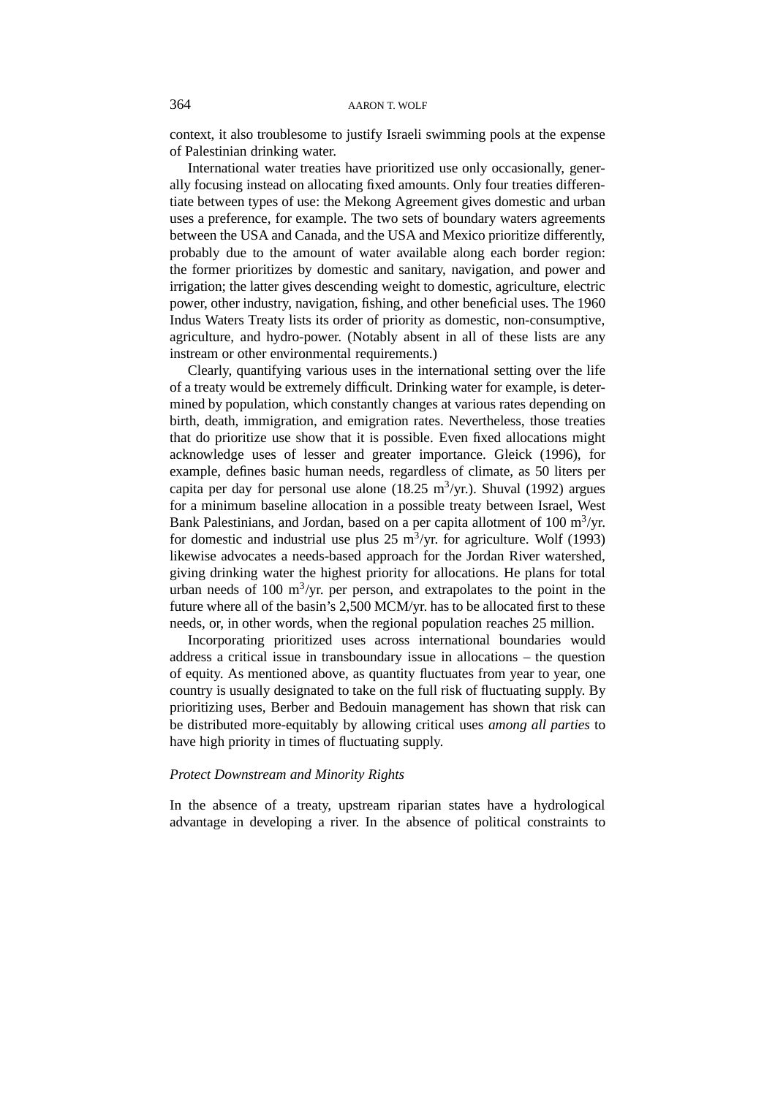context, it also troublesome to justify Israeli swimming pools at the expense of Palestinian drinking water.

International water treaties have prioritized use only occasionally, generally focusing instead on allocating fixed amounts. Only four treaties differentiate between types of use: the Mekong Agreement gives domestic and urban uses a preference, for example. The two sets of boundary waters agreements between the USA and Canada, and the USA and Mexico prioritize differently, probably due to the amount of water available along each border region: the former prioritizes by domestic and sanitary, navigation, and power and irrigation; the latter gives descending weight to domestic, agriculture, electric power, other industry, navigation, fishing, and other beneficial uses. The 1960 Indus Waters Treaty lists its order of priority as domestic, non-consumptive, agriculture, and hydro-power. (Notably absent in all of these lists are any instream or other environmental requirements.)

Clearly, quantifying various uses in the international setting over the life of a treaty would be extremely difficult. Drinking water for example, is determined by population, which constantly changes at various rates depending on birth, death, immigration, and emigration rates. Nevertheless, those treaties that do prioritize use show that it is possible. Even fixed allocations might acknowledge uses of lesser and greater importance. Gleick (1996), for example, defines basic human needs, regardless of climate, as 50 liters per capita per day for personal use alone (18.25 m<sup>3</sup>/yr.). Shuval (1992) argues for a minimum baseline allocation in a possible treaty between Israel, West Bank Palestinians, and Jordan, based on a per capita allotment of 100  $\text{m}^3/\text{yr}$ . for domestic and industrial use plus  $25 \text{ m}^3/\text{yr}$ . for agriculture. Wolf (1993) likewise advocates a needs-based approach for the Jordan River watershed, giving drinking water the highest priority for allocations. He plans for total urban needs of 100  $\mathrm{m}^3/\mathrm{yr}$ , per person, and extrapolates to the point in the future where all of the basin's 2,500 MCM/yr. has to be allocated first to these needs, or, in other words, when the regional population reaches 25 million.

Incorporating prioritized uses across international boundaries would address a critical issue in transboundary issue in allocations – the question of equity. As mentioned above, as quantity fluctuates from year to year, one country is usually designated to take on the full risk of fluctuating supply. By prioritizing uses, Berber and Bedouin management has shown that risk can be distributed more-equitably by allowing critical uses *among all parties* to have high priority in times of fluctuating supply.

#### *Protect Downstream and Minority Rights*

In the absence of a treaty, upstream riparian states have a hydrological advantage in developing a river. In the absence of political constraints to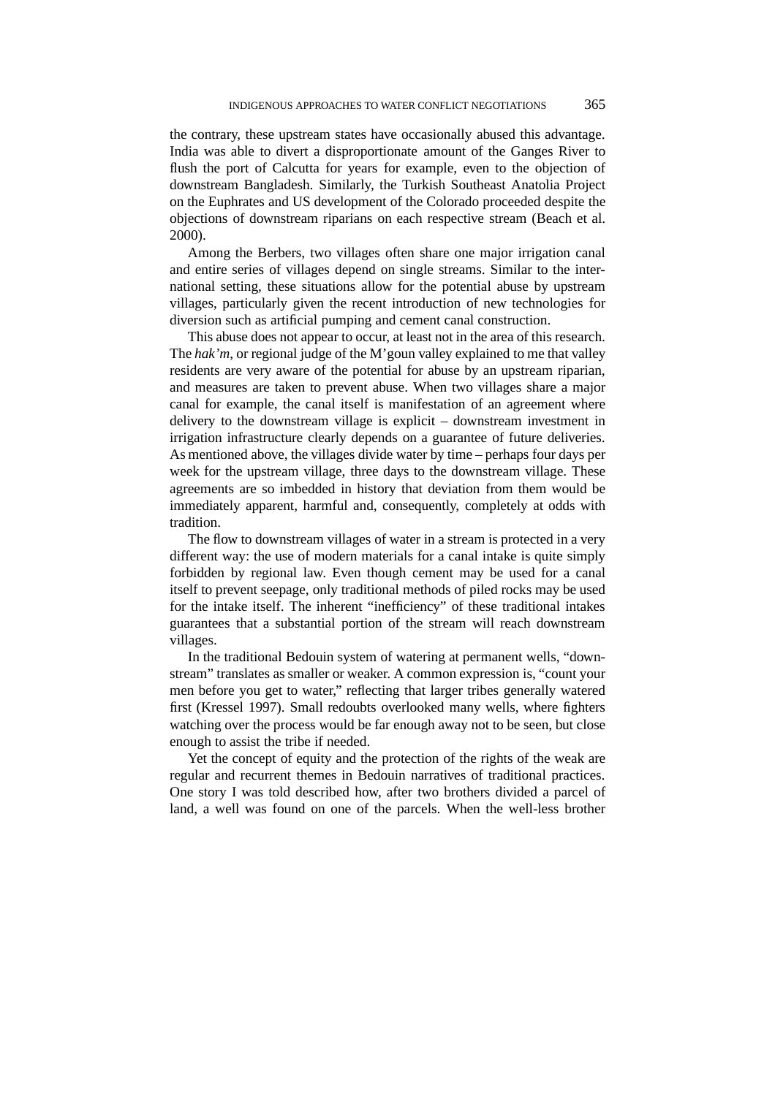the contrary, these upstream states have occasionally abused this advantage. India was able to divert a disproportionate amount of the Ganges River to flush the port of Calcutta for years for example, even to the objection of downstream Bangladesh. Similarly, the Turkish Southeast Anatolia Project on the Euphrates and US development of the Colorado proceeded despite the objections of downstream riparians on each respective stream (Beach et al. 2000).

Among the Berbers, two villages often share one major irrigation canal and entire series of villages depend on single streams. Similar to the international setting, these situations allow for the potential abuse by upstream villages, particularly given the recent introduction of new technologies for diversion such as artificial pumping and cement canal construction.

This abuse does not appear to occur, at least not in the area of this research. The *hak'm*, or regional judge of the M'goun valley explained to me that valley residents are very aware of the potential for abuse by an upstream riparian, and measures are taken to prevent abuse. When two villages share a major canal for example, the canal itself is manifestation of an agreement where delivery to the downstream village is explicit – downstream investment in irrigation infrastructure clearly depends on a guarantee of future deliveries. As mentioned above, the villages divide water by time – perhaps four days per week for the upstream village, three days to the downstream village. These agreements are so imbedded in history that deviation from them would be immediately apparent, harmful and, consequently, completely at odds with tradition.

The flow to downstream villages of water in a stream is protected in a very different way: the use of modern materials for a canal intake is quite simply forbidden by regional law. Even though cement may be used for a canal itself to prevent seepage, only traditional methods of piled rocks may be used for the intake itself. The inherent "inefficiency" of these traditional intakes guarantees that a substantial portion of the stream will reach downstream villages.

In the traditional Bedouin system of watering at permanent wells, "downstream" translates as smaller or weaker. A common expression is, "count your men before you get to water," reflecting that larger tribes generally watered first (Kressel 1997). Small redoubts overlooked many wells, where fighters watching over the process would be far enough away not to be seen, but close enough to assist the tribe if needed.

Yet the concept of equity and the protection of the rights of the weak are regular and recurrent themes in Bedouin narratives of traditional practices. One story I was told described how, after two brothers divided a parcel of land, a well was found on one of the parcels. When the well-less brother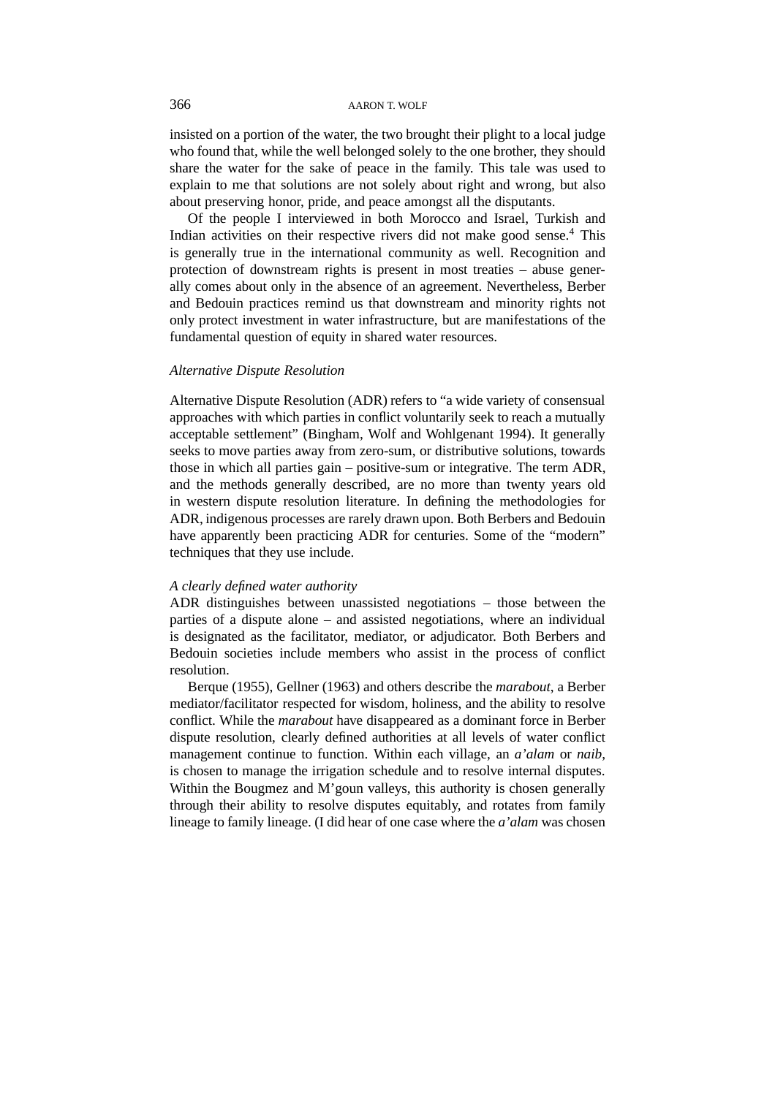insisted on a portion of the water, the two brought their plight to a local judge who found that, while the well belonged solely to the one brother, they should share the water for the sake of peace in the family. This tale was used to explain to me that solutions are not solely about right and wrong, but also about preserving honor, pride, and peace amongst all the disputants.

Of the people I interviewed in both Morocco and Israel, Turkish and Indian activities on their respective rivers did not make good sense.<sup>4</sup> This is generally true in the international community as well. Recognition and protection of downstream rights is present in most treaties – abuse generally comes about only in the absence of an agreement. Nevertheless, Berber and Bedouin practices remind us that downstream and minority rights not only protect investment in water infrastructure, but are manifestations of the fundamental question of equity in shared water resources.

## *Alternative Dispute Resolution*

Alternative Dispute Resolution (ADR) refers to "a wide variety of consensual approaches with which parties in conflict voluntarily seek to reach a mutually acceptable settlement" (Bingham, Wolf and Wohlgenant 1994). It generally seeks to move parties away from zero-sum, or distributive solutions, towards those in which all parties gain – positive-sum or integrative. The term ADR, and the methods generally described, are no more than twenty years old in western dispute resolution literature. In defining the methodologies for ADR, indigenous processes are rarely drawn upon. Both Berbers and Bedouin have apparently been practicing ADR for centuries. Some of the "modern" techniques that they use include.

### *A clearly defined water authority*

ADR distinguishes between unassisted negotiations – those between the parties of a dispute alone – and assisted negotiations, where an individual is designated as the facilitator, mediator, or adjudicator. Both Berbers and Bedouin societies include members who assist in the process of conflict resolution.

Berque (1955), Gellner (1963) and others describe the *marabout*, a Berber mediator/facilitator respected for wisdom, holiness, and the ability to resolve conflict. While the *marabout* have disappeared as a dominant force in Berber dispute resolution, clearly defined authorities at all levels of water conflict management continue to function. Within each village, an *a'alam* or *naib*, is chosen to manage the irrigation schedule and to resolve internal disputes. Within the Bougmez and M'goun valleys, this authority is chosen generally through their ability to resolve disputes equitably, and rotates from family lineage to family lineage. (I did hear of one case where the *a'alam* was chosen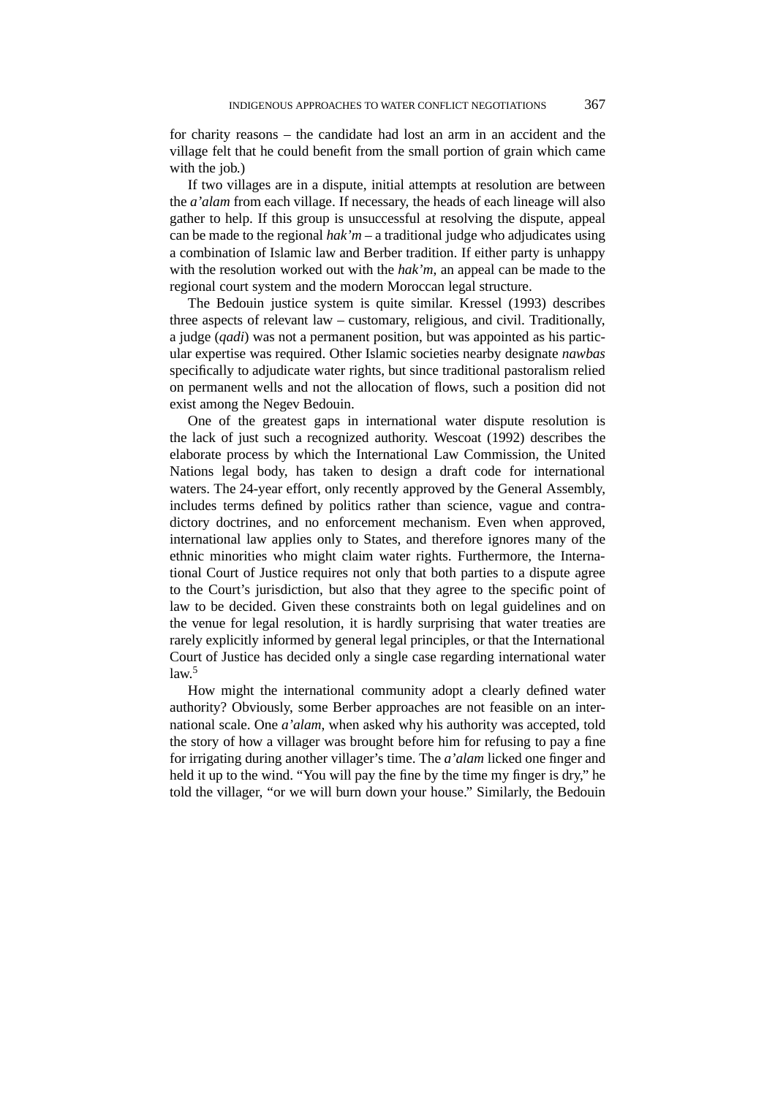for charity reasons – the candidate had lost an arm in an accident and the village felt that he could benefit from the small portion of grain which came with the job.)

If two villages are in a dispute, initial attempts at resolution are between the *a'alam* from each village. If necessary, the heads of each lineage will also gather to help. If this group is unsuccessful at resolving the dispute, appeal can be made to the regional *hak'm* – a traditional judge who adjudicates using a combination of Islamic law and Berber tradition. If either party is unhappy with the resolution worked out with the *hak'm*, an appeal can be made to the regional court system and the modern Moroccan legal structure.

The Bedouin justice system is quite similar. Kressel (1993) describes three aspects of relevant law – customary, religious, and civil. Traditionally, a judge (*qadi*) was not a permanent position, but was appointed as his particular expertise was required. Other Islamic societies nearby designate *nawbas* specifically to adjudicate water rights, but since traditional pastoralism relied on permanent wells and not the allocation of flows, such a position did not exist among the Negev Bedouin.

One of the greatest gaps in international water dispute resolution is the lack of just such a recognized authority. Wescoat (1992) describes the elaborate process by which the International Law Commission, the United Nations legal body, has taken to design a draft code for international waters. The 24-year effort, only recently approved by the General Assembly, includes terms defined by politics rather than science, vague and contradictory doctrines, and no enforcement mechanism. Even when approved, international law applies only to States, and therefore ignores many of the ethnic minorities who might claim water rights. Furthermore, the International Court of Justice requires not only that both parties to a dispute agree to the Court's jurisdiction, but also that they agree to the specific point of law to be decided. Given these constraints both on legal guidelines and on the venue for legal resolution, it is hardly surprising that water treaties are rarely explicitly informed by general legal principles, or that the International Court of Justice has decided only a single case regarding international water  $law<sup>5</sup>$ 

How might the international community adopt a clearly defined water authority? Obviously, some Berber approaches are not feasible on an international scale. One *a'alam*, when asked why his authority was accepted, told the story of how a villager was brought before him for refusing to pay a fine for irrigating during another villager's time. The *a'alam* licked one finger and held it up to the wind. "You will pay the fine by the time my finger is dry," he told the villager, "or we will burn down your house." Similarly, the Bedouin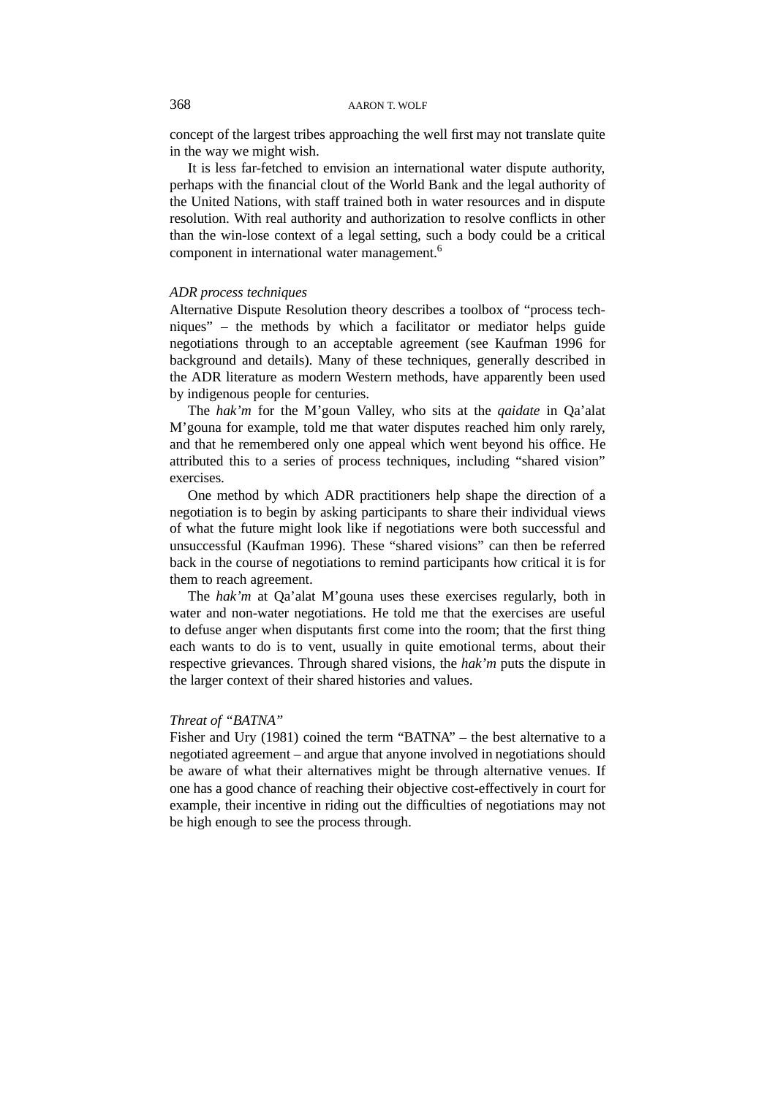concept of the largest tribes approaching the well first may not translate quite in the way we might wish.

It is less far-fetched to envision an international water dispute authority, perhaps with the financial clout of the World Bank and the legal authority of the United Nations, with staff trained both in water resources and in dispute resolution. With real authority and authorization to resolve conflicts in other than the win-lose context of a legal setting, such a body could be a critical component in international water management.6

## *ADR process techniques*

Alternative Dispute Resolution theory describes a toolbox of "process techniques" – the methods by which a facilitator or mediator helps guide negotiations through to an acceptable agreement (see Kaufman 1996 for background and details). Many of these techniques, generally described in the ADR literature as modern Western methods, have apparently been used by indigenous people for centuries.

The *hak'm* for the M'goun Valley, who sits at the *qaidate* in Qa'alat M'gouna for example, told me that water disputes reached him only rarely, and that he remembered only one appeal which went beyond his office. He attributed this to a series of process techniques, including "shared vision" exercises.

One method by which ADR practitioners help shape the direction of a negotiation is to begin by asking participants to share their individual views of what the future might look like if negotiations were both successful and unsuccessful (Kaufman 1996). These "shared visions" can then be referred back in the course of negotiations to remind participants how critical it is for them to reach agreement.

The *hak'm* at Qa'alat M'gouna uses these exercises regularly, both in water and non-water negotiations. He told me that the exercises are useful to defuse anger when disputants first come into the room; that the first thing each wants to do is to vent, usually in quite emotional terms, about their respective grievances. Through shared visions, the *hak'm* puts the dispute in the larger context of their shared histories and values.

## *Threat of "BATNA"*

Fisher and Ury (1981) coined the term "BATNA" – the best alternative to a negotiated agreement – and argue that anyone involved in negotiations should be aware of what their alternatives might be through alternative venues. If one has a good chance of reaching their objective cost-effectively in court for example, their incentive in riding out the difficulties of negotiations may not be high enough to see the process through.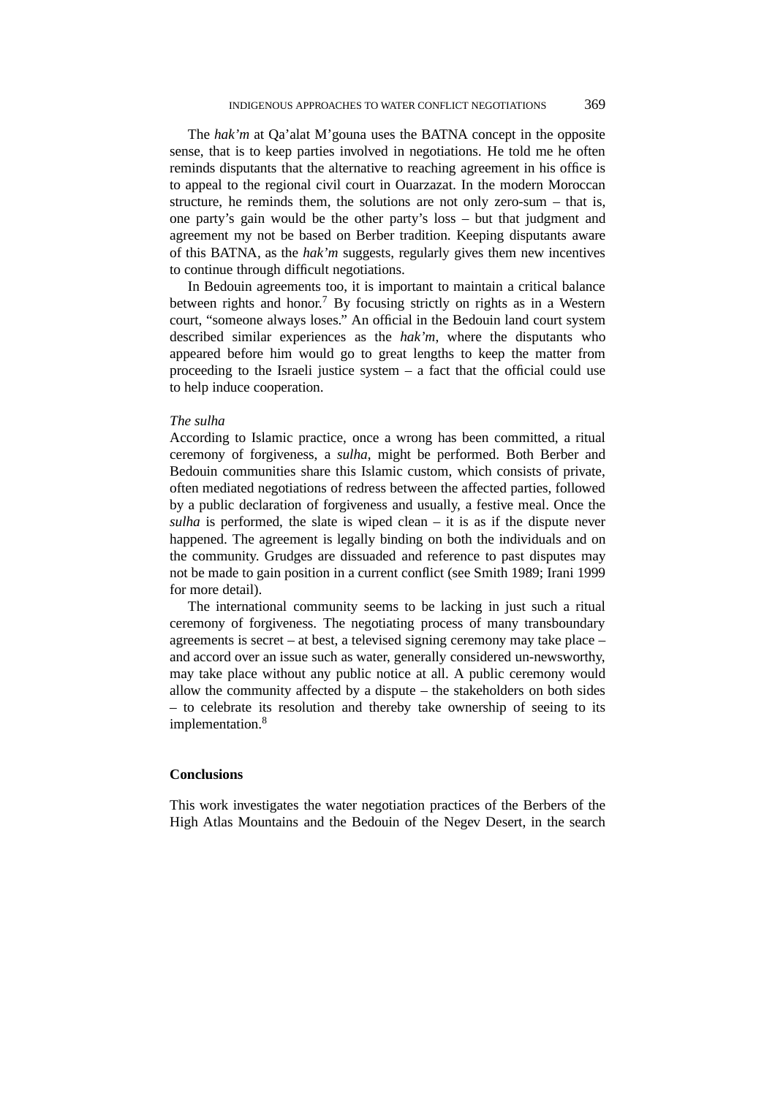The *hak'm* at Qa'alat M'gouna uses the BATNA concept in the opposite sense, that is to keep parties involved in negotiations. He told me he often reminds disputants that the alternative to reaching agreement in his office is to appeal to the regional civil court in Ouarzazat. In the modern Moroccan structure, he reminds them, the solutions are not only zero-sum – that is, one party's gain would be the other party's loss – but that judgment and agreement my not be based on Berber tradition. Keeping disputants aware of this BATNA, as the *hak'm* suggests, regularly gives them new incentives to continue through difficult negotiations.

In Bedouin agreements too, it is important to maintain a critical balance between rights and honor.<sup>7</sup> By focusing strictly on rights as in a Western court, "someone always loses." An official in the Bedouin land court system described similar experiences as the *hak'm*, where the disputants who appeared before him would go to great lengths to keep the matter from proceeding to the Israeli justice system – a fact that the official could use to help induce cooperation.

## *The sulha*

According to Islamic practice, once a wrong has been committed, a ritual ceremony of forgiveness, a *sulha*, might be performed. Both Berber and Bedouin communities share this Islamic custom, which consists of private, often mediated negotiations of redress between the affected parties, followed by a public declaration of forgiveness and usually, a festive meal. Once the *sulha* is performed, the slate is wiped clean – it is as if the dispute never happened. The agreement is legally binding on both the individuals and on the community. Grudges are dissuaded and reference to past disputes may not be made to gain position in a current conflict (see Smith 1989; Irani 1999 for more detail).

The international community seems to be lacking in just such a ritual ceremony of forgiveness. The negotiating process of many transboundary agreements is secret – at best, a televised signing ceremony may take place – and accord over an issue such as water, generally considered un-newsworthy, may take place without any public notice at all. A public ceremony would allow the community affected by a dispute – the stakeholders on both sides – to celebrate its resolution and thereby take ownership of seeing to its implementation.<sup>8</sup>

## **Conclusions**

This work investigates the water negotiation practices of the Berbers of the High Atlas Mountains and the Bedouin of the Negev Desert, in the search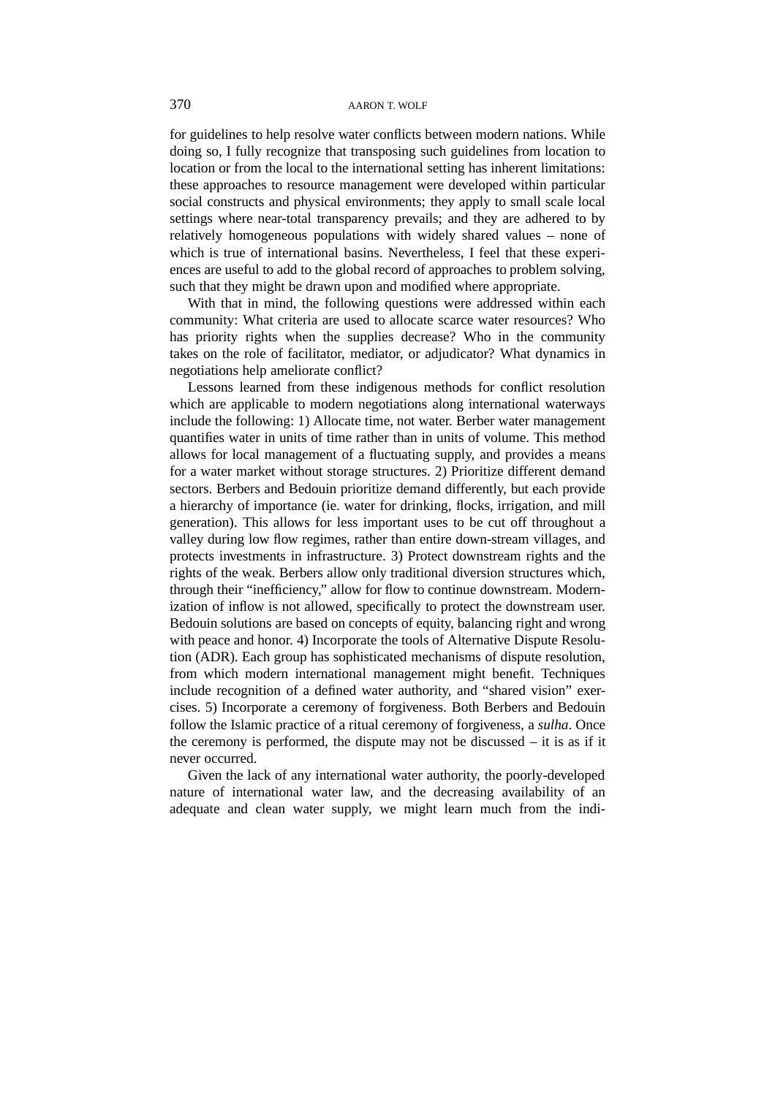for guidelines to help resolve water conflicts between modern nations. While doing so, I fully recognize that transposing such guidelines from location to location or from the local to the international setting has inherent limitations: these approaches to resource management were developed within particular social constructs and physical environments; they apply to small scale local settings where near-total transparency prevails; and they are adhered to by relatively homogeneous populations with widely shared values – none of which is true of international basins. Nevertheless, I feel that these experiences are useful to add to the global record of approaches to problem solving, such that they might be drawn upon and modified where appropriate.

With that in mind, the following questions were addressed within each community: What criteria are used to allocate scarce water resources? Who has priority rights when the supplies decrease? Who in the community takes on the role of facilitator, mediator, or adjudicator? What dynamics in negotiations help ameliorate conflict?

Lessons learned from these indigenous methods for conflict resolution which are applicable to modern negotiations along international waterways include the following: 1) Allocate time, not water. Berber water management quantifies water in units of time rather than in units of volume. This method allows for local management of a fluctuating supply, and provides a means for a water market without storage structures. 2) Prioritize different demand sectors. Berbers and Bedouin prioritize demand differently, but each provide a hierarchy of importance (ie. water for drinking, flocks, irrigation, and mill generation). This allows for less important uses to be cut off throughout a valley during low flow regimes, rather than entire down-stream villages, and protects investments in infrastructure. 3) Protect downstream rights and the rights of the weak. Berbers allow only traditional diversion structures which, through their "inefficiency," allow for flow to continue downstream. Modernization of inflow is not allowed, specifically to protect the downstream user. Bedouin solutions are based on concepts of equity, balancing right and wrong with peace and honor. 4) Incorporate the tools of Alternative Dispute Resolution (ADR). Each group has sophisticated mechanisms of dispute resolution, from which modern international management might benefit. Techniques include recognition of a defined water authority, and "shared vision" exercises. 5) Incorporate a ceremony of forgiveness. Both Berbers and Bedouin follow the Islamic practice of a ritual ceremony of forgiveness, a *sulha*. Once the ceremony is performed, the dispute may not be discussed – it is as if it never occurred.

Given the lack of any international water authority, the poorly-developed nature of international water law, and the decreasing availability of an adequate and clean water supply, we might learn much from the indi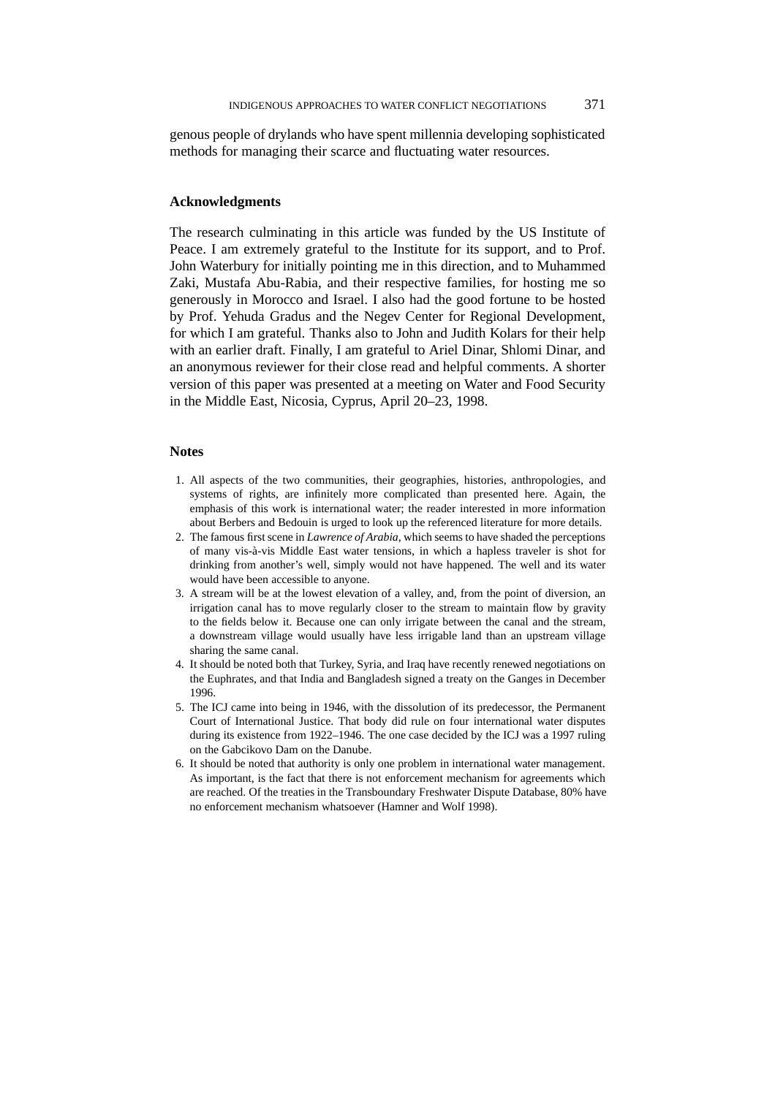genous people of drylands who have spent millennia developing sophisticated methods for managing their scarce and fluctuating water resources.

## **Acknowledgments**

The research culminating in this article was funded by the US Institute of Peace. I am extremely grateful to the Institute for its support, and to Prof. John Waterbury for initially pointing me in this direction, and to Muhammed Zaki, Mustafa Abu-Rabia, and their respective families, for hosting me so generously in Morocco and Israel. I also had the good fortune to be hosted by Prof. Yehuda Gradus and the Negev Center for Regional Development, for which I am grateful. Thanks also to John and Judith Kolars for their help with an earlier draft. Finally, I am grateful to Ariel Dinar, Shlomi Dinar, and an anonymous reviewer for their close read and helpful comments. A shorter version of this paper was presented at a meeting on Water and Food Security in the Middle East, Nicosia, Cyprus, April 20–23, 1998.

## **Notes**

- 1. All aspects of the two communities, their geographies, histories, anthropologies, and systems of rights, are infinitely more complicated than presented here. Again, the emphasis of this work is international water; the reader interested in more information about Berbers and Bedouin is urged to look up the referenced literature for more details.
- 2. The famous first scene in *Lawrence of Arabia*, which seems to have shaded the perceptions of many vis-à-vis Middle East water tensions, in which a hapless traveler is shot for drinking from another's well, simply would not have happened. The well and its water would have been accessible to anyone.
- 3. A stream will be at the lowest elevation of a valley, and, from the point of diversion, an irrigation canal has to move regularly closer to the stream to maintain flow by gravity to the fields below it. Because one can only irrigate between the canal and the stream, a downstream village would usually have less irrigable land than an upstream village sharing the same canal.
- 4. It should be noted both that Turkey, Syria, and Iraq have recently renewed negotiations on the Euphrates, and that India and Bangladesh signed a treaty on the Ganges in December 1996.
- 5. The ICJ came into being in 1946, with the dissolution of its predecessor, the Permanent Court of International Justice. That body did rule on four international water disputes during its existence from 1922–1946. The one case decided by the ICJ was a 1997 ruling on the Gabcikovo Dam on the Danube.
- 6. It should be noted that authority is only one problem in international water management. As important, is the fact that there is not enforcement mechanism for agreements which are reached. Of the treaties in the Transboundary Freshwater Dispute Database, 80% have no enforcement mechanism whatsoever (Hamner and Wolf 1998).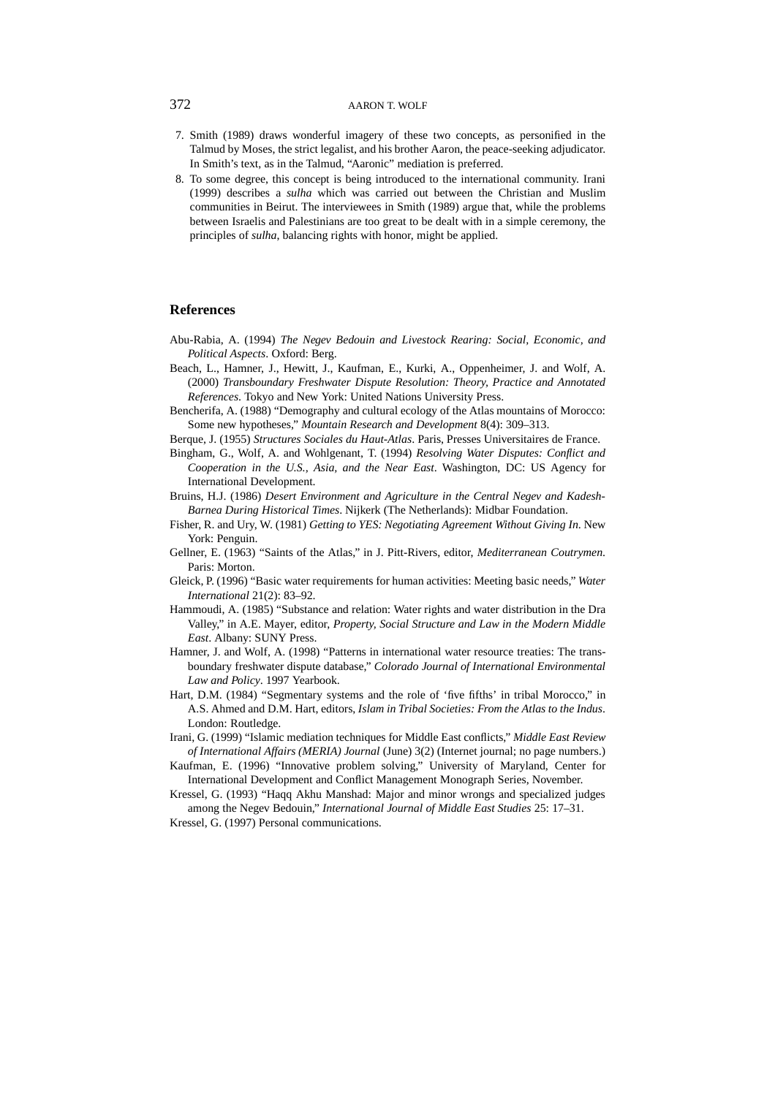- 7. Smith (1989) draws wonderful imagery of these two concepts, as personified in the Talmud by Moses, the strict legalist, and his brother Aaron, the peace-seeking adjudicator. In Smith's text, as in the Talmud, "Aaronic" mediation is preferred.
- 8. To some degree, this concept is being introduced to the international community. Irani (1999) describes a *sulha* which was carried out between the Christian and Muslim communities in Beirut. The interviewees in Smith (1989) argue that, while the problems between Israelis and Palestinians are too great to be dealt with in a simple ceremony, the principles of *sulha*, balancing rights with honor, might be applied.

#### **References**

- Abu-Rabia, A. (1994) *The Negev Bedouin and Livestock Rearing: Social, Economic, and Political Aspects*. Oxford: Berg.
- Beach, L., Hamner, J., Hewitt, J., Kaufman, E., Kurki, A., Oppenheimer, J. and Wolf, A. (2000) *Transboundary Freshwater Dispute Resolution: Theory, Practice and Annotated References*. Tokyo and New York: United Nations University Press.
- Bencherifa, A. (1988) "Demography and cultural ecology of the Atlas mountains of Morocco: Some new hypotheses," *Mountain Research and Development* 8(4): 309–313.
- Berque, J. (1955) *Structures Sociales du Haut-Atlas*. Paris, Presses Universitaires de France.
- Bingham, G., Wolf, A. and Wohlgenant, T. (1994) *Resolving Water Disputes: Conflict and Cooperation in the U.S., Asia, and the Near East*. Washington, DC: US Agency for International Development.
- Bruins, H.J. (1986) *Desert Environment and Agriculture in the Central Negev and Kadesh-Barnea During Historical Times*. Nijkerk (The Netherlands): Midbar Foundation.
- Fisher, R. and Ury, W. (1981) *Getting to YES: Negotiating Agreement Without Giving In*. New York: Penguin.
- Gellner, E. (1963) "Saints of the Atlas," in J. Pitt-Rivers, editor, *Mediterranean Coutrymen*. Paris: Morton.
- Gleick, P. (1996) "Basic water requirements for human activities: Meeting basic needs," *Water International* 21(2): 83–92.
- Hammoudi, A. (1985) "Substance and relation: Water rights and water distribution in the Dra Valley," in A.E. Mayer, editor, *Property, Social Structure and Law in the Modern Middle East*. Albany: SUNY Press.
- Hamner, J. and Wolf, A. (1998) "Patterns in international water resource treaties: The transboundary freshwater dispute database," *Colorado Journal of International Environmental Law and Policy*. 1997 Yearbook.
- Hart, D.M. (1984) "Segmentary systems and the role of 'five fifths' in tribal Morocco," in A.S. Ahmed and D.M. Hart, editors, *Islam in Tribal Societies: From the Atlas to the Indus*. London: Routledge.
- Irani, G. (1999) "Islamic mediation techniques for Middle East conflicts," *Middle East Review of International Affairs (MERIA) Journal* (June) 3(2) (Internet journal; no page numbers.)
- Kaufman, E. (1996) "Innovative problem solving," University of Maryland, Center for International Development and Conflict Management Monograph Series, November.
- Kressel, G. (1993) "Haqq Akhu Manshad: Major and minor wrongs and specialized judges among the Negev Bedouin," *International Journal of Middle East Studies* 25: 17–31.
- Kressel, G. (1997) Personal communications.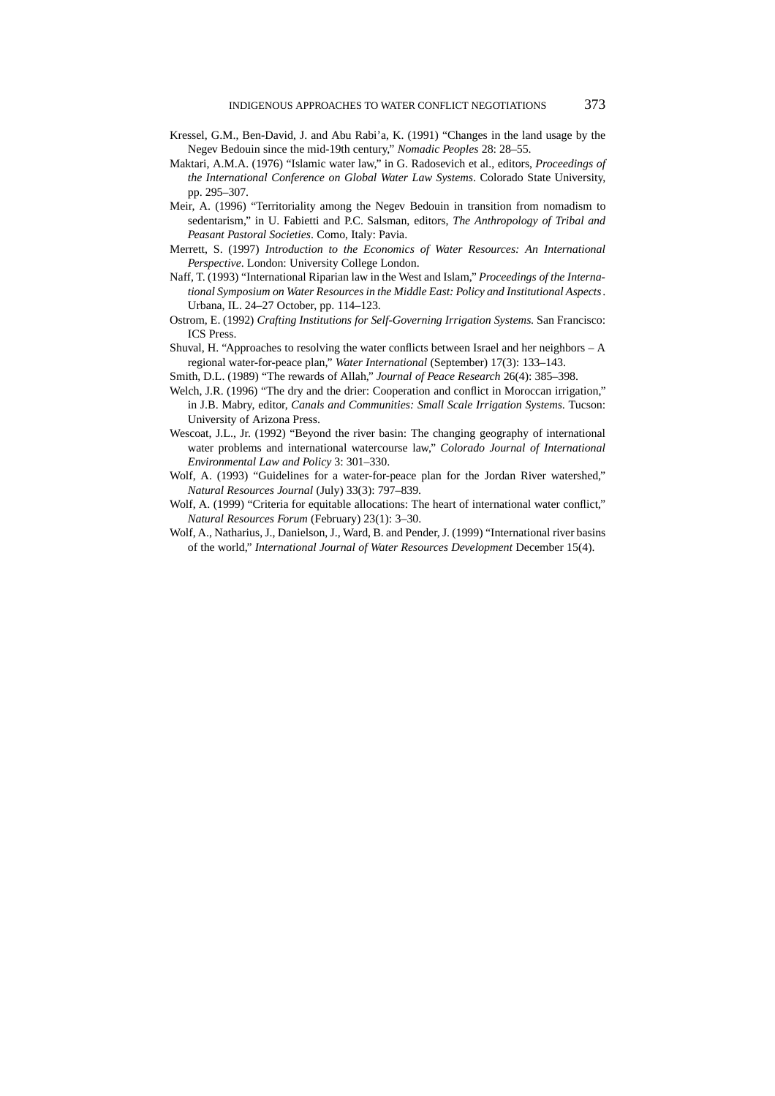- Kressel, G.M., Ben-David, J. and Abu Rabi'a, K. (1991) "Changes in the land usage by the Negev Bedouin since the mid-19th century," *Nomadic Peoples* 28: 28–55.
- Maktari, A.M.A. (1976) "Islamic water law," in G. Radosevich et al., editors, *Proceedings of the International Conference on Global Water Law Systems*. Colorado State University, pp. 295–307.
- Meir, A. (1996) "Territoriality among the Negev Bedouin in transition from nomadism to sedentarism," in U. Fabietti and P.C. Salsman, editors, *The Anthropology of Tribal and Peasant Pastoral Societies*. Como, Italy: Pavia.
- Merrett, S. (1997) *Introduction to the Economics of Water Resources: An International Perspective*. London: University College London.
- Naff, T. (1993) "International Riparian law in the West and Islam," *Proceedings of the International Symposium on Water Resources in the Middle East: Policy and Institutional Aspects*. Urbana, IL. 24–27 October, pp. 114–123.
- Ostrom, E. (1992) *Crafting Institutions for Self-Governing Irrigation Systems*. San Francisco: ICS Press.
- Shuval, H. "Approaches to resolving the water conflicts between Israel and her neighbors A regional water-for-peace plan," *Water International* (September) 17(3): 133–143.
- Smith, D.L. (1989) "The rewards of Allah," *Journal of Peace Research* 26(4): 385–398.
- Welch, J.R. (1996) "The dry and the drier: Cooperation and conflict in Moroccan irrigation," in J.B. Mabry, editor, *Canals and Communities: Small Scale Irrigation Systems*. Tucson: University of Arizona Press.
- Wescoat, J.L., Jr. (1992) "Beyond the river basin: The changing geography of international water problems and international watercourse law," *Colorado Journal of International Environmental Law and Policy* 3: 301–330.
- Wolf, A. (1993) "Guidelines for a water-for-peace plan for the Jordan River watershed," *Natural Resources Journal* (July) 33(3): 797–839.
- Wolf, A. (1999) "Criteria for equitable allocations: The heart of international water conflict," *Natural Resources Forum* (February) 23(1): 3–30.
- Wolf, A., Natharius, J., Danielson, J., Ward, B. and Pender, J. (1999) "International river basins of the world," *International Journal of Water Resources Development* December 15(4).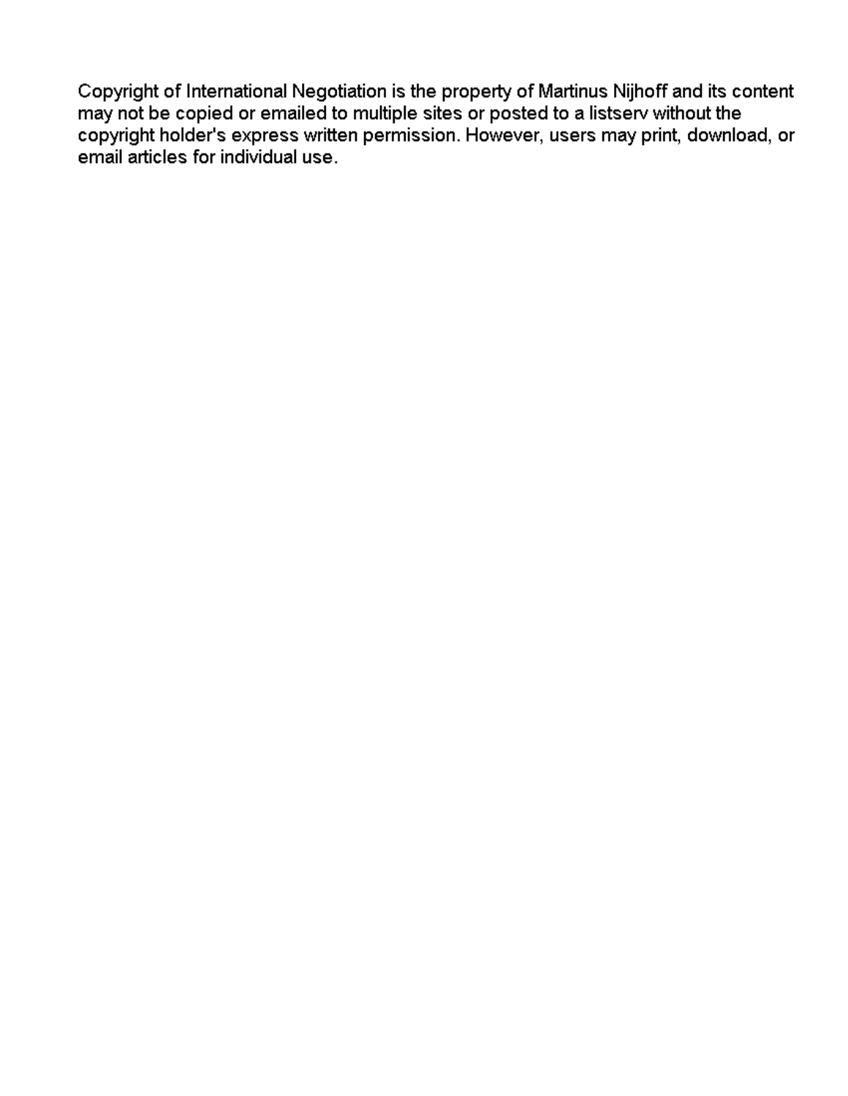Copyright of International Negotiation is the property of Martinus Nijhoff and its content may not be copied or emailed to multiple sites or posted to a listserv without the copyright holder's express written permission. However, users may print, download, or email articles for individual use.